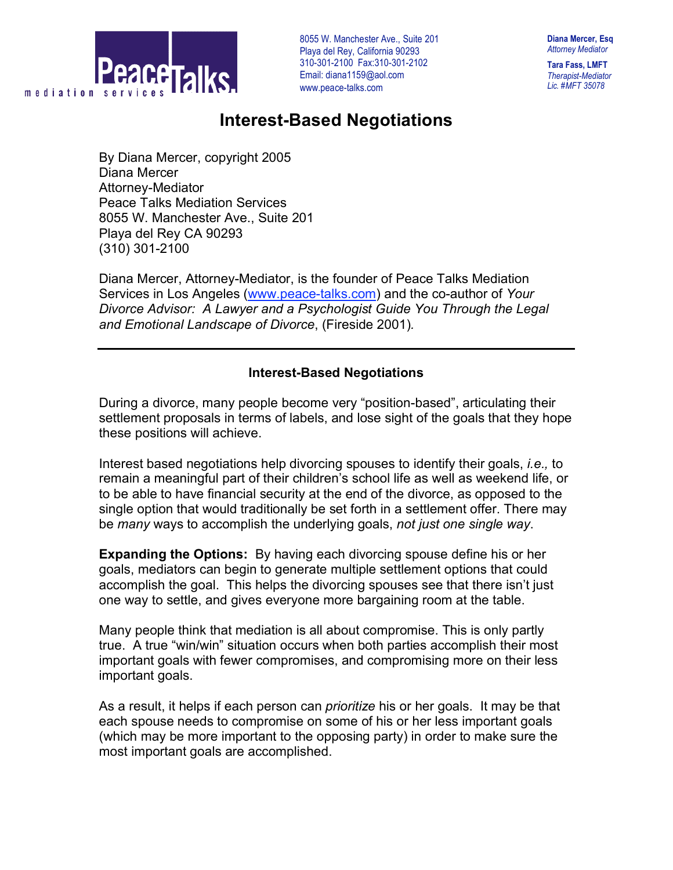

**Diana Mercer, Esq** *Attorney Mediator*

**Tara Fass, LMFT** *Therapist-Mediator Lic. #MFT 35078*

## **Interest-Based Negotiations**

By Diana Mercer, copyright 2005 Diana Mercer Attorney-Mediator Peace Talks Mediation Services 8055 W. Manchester Ave., Suite 201 Playa del Rey CA 90293 (310) 301-2100

Diana Mercer, Attorney-Mediator, is the founder of Peace Talks Mediation Services in Los Angeles (www.peace-talks.com) and the co-author of *Your Divorce Advisor: A Lawyer and a Psychologist Guide You Through the Legal and Emotional Landscape of Divorce*, (Fireside 2001)*.*

## **Interest-Based Negotiations**

During a divorce, many people become very "position-based", articulating their settlement proposals in terms of labels, and lose sight of the goals that they hope these positions will achieve.

Interest based negotiations help divorcing spouses to identify their goals, *i.e.,* to remain a meaningful part of their children's school life as well as weekend life, or to be able to have financial security at the end of the divorce, as opposed to the single option that would traditionally be set forth in a settlement offer. There may be *many* ways to accomplish the underlying goals, *not just one single way*.

**Expanding the Options:** By having each divorcing spouse define his or her goals, mediators can begin to generate multiple settlement options that could accomplish the goal. This helps the divorcing spouses see that there isn't just one way to settle, and gives everyone more bargaining room at the table.

Many people think that mediation is all about compromise. This is only partly true. A true "win/win" situation occurs when both parties accomplish their most important goals with fewer compromises, and compromising more on their less important goals.

As a result, it helps if each person can *prioritize* his or her goals. It may be that each spouse needs to compromise on some of his or her less important goals (which may be more important to the opposing party) in order to make sure the most important goals are accomplished.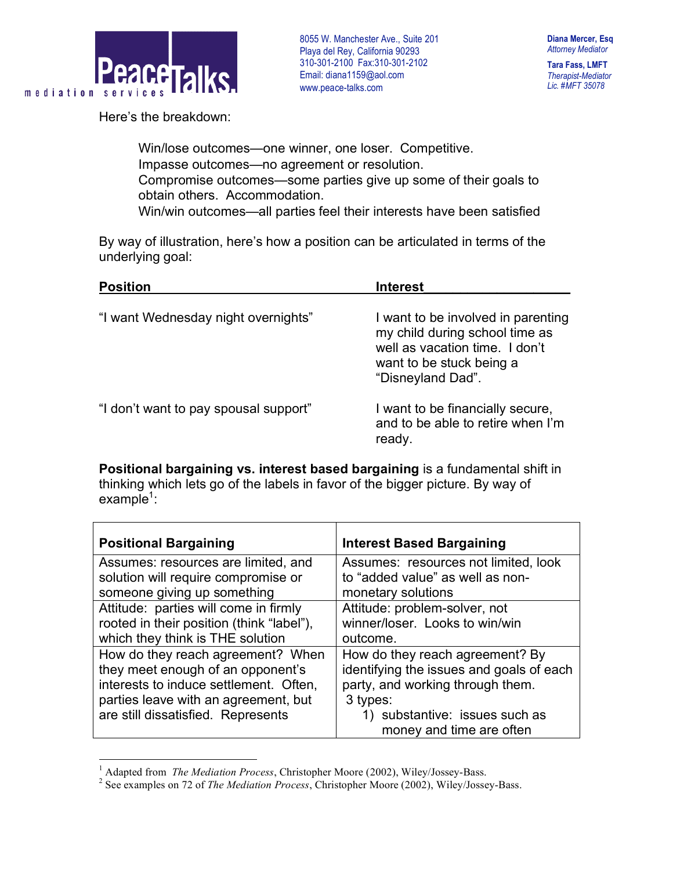

**Tara Fass, LMFT** *Therapist-Mediator Lic. #MFT 35078*

Here's the breakdown:

 Win/lose outcomes—one winner, one loser. Competitive. Impasse outcomes—no agreement or resolution. Compromise outcomes—some parties give up some of their goals to obtain others. Accommodation. Win/win outcomes—all parties feel their interests have been satisfied

By way of illustration, here's how a position can be articulated in terms of the underlying goal:

| <b>Position</b>                       | <b>Interest</b>                                                                                                                                         |  |
|---------------------------------------|---------------------------------------------------------------------------------------------------------------------------------------------------------|--|
| "I want Wednesday night overnights"   | I want to be involved in parenting<br>my child during school time as<br>well as vacation time. I don't<br>want to be stuck being a<br>"Disneyland Dad". |  |
| "I don't want to pay spousal support" | I want to be financially secure,<br>and to be able to retire when I'm<br>ready.                                                                         |  |

**Positional bargaining vs. interest based bargaining** is a fundamental shift in thinking which lets go of the labels in favor of the bigger picture. By way of  $example<sup>1</sup>$ :

| <b>Positional Bargaining</b>              | <b>Interest Based Bargaining</b>         |
|-------------------------------------------|------------------------------------------|
| Assumes: resources are limited, and       | Assumes: resources not limited, look     |
| solution will require compromise or       | to "added value" as well as non-         |
| someone giving up something               | monetary solutions                       |
| Attitude: parties will come in firmly     | Attitude: problem-solver, not            |
| rooted in their position (think "label"), | winner/loser. Looks to win/win           |
| which they think is THE solution          | outcome.                                 |
| How do they reach agreement? When         | How do they reach agreement? By          |
| they meet enough of an opponent's         | identifying the issues and goals of each |
| interests to induce settlement. Often,    | party, and working through them.         |
| parties leave with an agreement, but      | 3 types:                                 |
| are still dissatisfied. Represents        | 1) substantive: issues such as           |
|                                           | money and time are often                 |

<sup>&</sup>lt;sup>1</sup> Adapted from *The Mediation Process*, Christopher Moore (2002), Wiley/Jossey-Bass. <sup>2</sup> See examples on 72 of *The Mediation Process*, Christopher Moore (2002), Wiley/Jossey-Bass.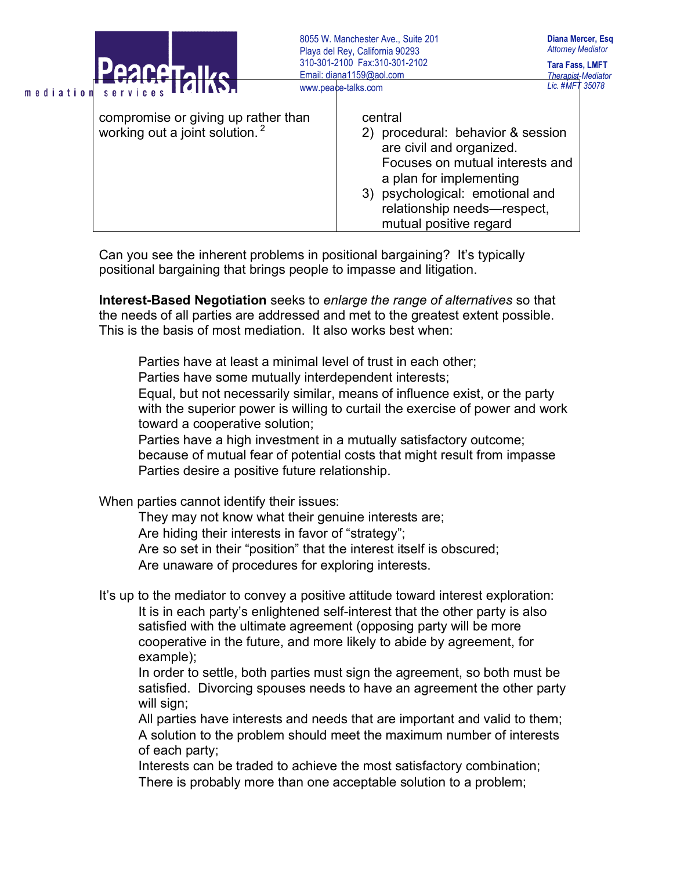|                                                                                   | 8055 W. Manchester Ave., Suite 201<br>Playa del Rey, California 90293 |                                                                                                                                                                                                                                 | Diana Mercer, Esq.<br><b>Attorney Mediator</b>      |
|-----------------------------------------------------------------------------------|-----------------------------------------------------------------------|---------------------------------------------------------------------------------------------------------------------------------------------------------------------------------------------------------------------------------|-----------------------------------------------------|
| <b>PAACATAILO</b>                                                                 |                                                                       | 310-301-2100 Fax:310-301-2102<br>Email: diana1159@aol.com                                                                                                                                                                       | <b>Tara Fass, LMFT</b><br><b>Therapist-Mediator</b> |
| mediation services ITOIIANA                                                       |                                                                       | www.peace-talks.com                                                                                                                                                                                                             | Lic. #MFT 35078                                     |
| compromise or giving up rather than<br>working out a joint solution. <sup>2</sup> |                                                                       | central<br>procedural: behavior & session<br>are civil and organized.<br>Focuses on mutual interests and<br>a plan for implementing<br>3) psychological: emotional and<br>relationship needs-respect,<br>mutual positive regard |                                                     |

Can you see the inherent problems in positional bargaining? It's typically positional bargaining that brings people to impasse and litigation.

**Interest-Based Negotiation** seeks to *enlarge the range of alternatives* so that the needs of all parties are addressed and met to the greatest extent possible. This is the basis of most mediation. It also works best when:

 Parties have at least a minimal level of trust in each other; Parties have some mutually interdependent interests; Equal, but not necessarily similar, means of influence exist, or the party with the superior power is willing to curtail the exercise of power and work toward a cooperative solution;

 Parties have a high investment in a mutually satisfactory outcome; because of mutual fear of potential costs that might result from impasse Parties desire a positive future relationship.

When parties cannot identify their issues:

 They may not know what their genuine interests are; Are hiding their interests in favor of "strategy"; Are so set in their "position" that the interest itself is obscured; Are unaware of procedures for exploring interests.

It's up to the mediator to convey a positive attitude toward interest exploration: It is in each party's enlightened self-interest that the other party is also satisfied with the ultimate agreement (opposing party will be more cooperative in the future, and more likely to abide by agreement, for example);

 In order to settle, both parties must sign the agreement, so both must be satisfied. Divorcing spouses needs to have an agreement the other party will sign:

 All parties have interests and needs that are important and valid to them; A solution to the problem should meet the maximum number of interests of each party;

 Interests can be traded to achieve the most satisfactory combination; There is probably more than one acceptable solution to a problem;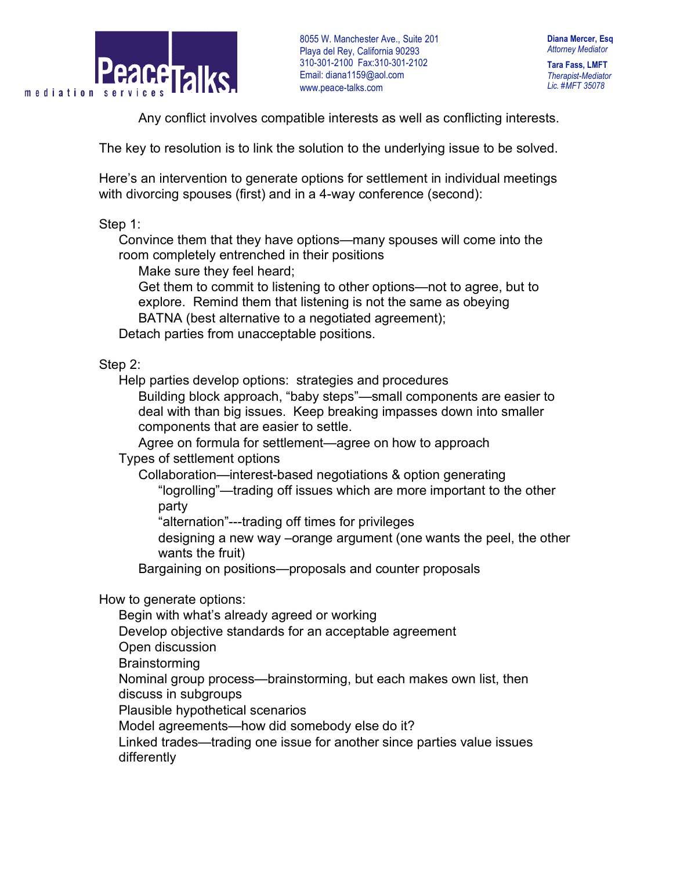

**Diana Mercer, Esq** *Attorney Mediator*

**Tara Fass, LMFT** *Therapist-Mediator Lic. #MFT 35078*

Any conflict involves compatible interests as well as conflicting interests.

The key to resolution is to link the solution to the underlying issue to be solved.

Here's an intervention to generate options for settlement in individual meetings with divorcing spouses (first) and in a 4-way conference (second):

Step 1:

 Convince them that they have options—many spouses will come into the room completely entrenched in their positions

Make sure they feel heard;

 Get them to commit to listening to other options—not to agree, but to explore. Remind them that listening is not the same as obeying

BATNA (best alternative to a negotiated agreement);

Detach parties from unacceptable positions.

Step 2:

Help parties develop options: strategies and procedures

 Building block approach, "baby steps"—small components are easier to deal with than big issues. Keep breaking impasses down into smaller components that are easier to settle.

Agree on formula for settlement—agree on how to approach

Types of settlement options

 Collaboration—interest-based negotiations & option generating "logrolling"—trading off issues which are more important to the other party

"alternation"---trading off times for privileges

 designing a new way –orange argument (one wants the peel, the other wants the fruit)

Bargaining on positions—proposals and counter proposals

How to generate options:

Begin with what's already agreed or working

Develop objective standards for an acceptable agreement

- Open discussion
- **Brainstorming**

 Nominal group process—brainstorming, but each makes own list, then discuss in subgroups

Plausible hypothetical scenarios

Model agreements—how did somebody else do it?

 Linked trades—trading one issue for another since parties value issues differently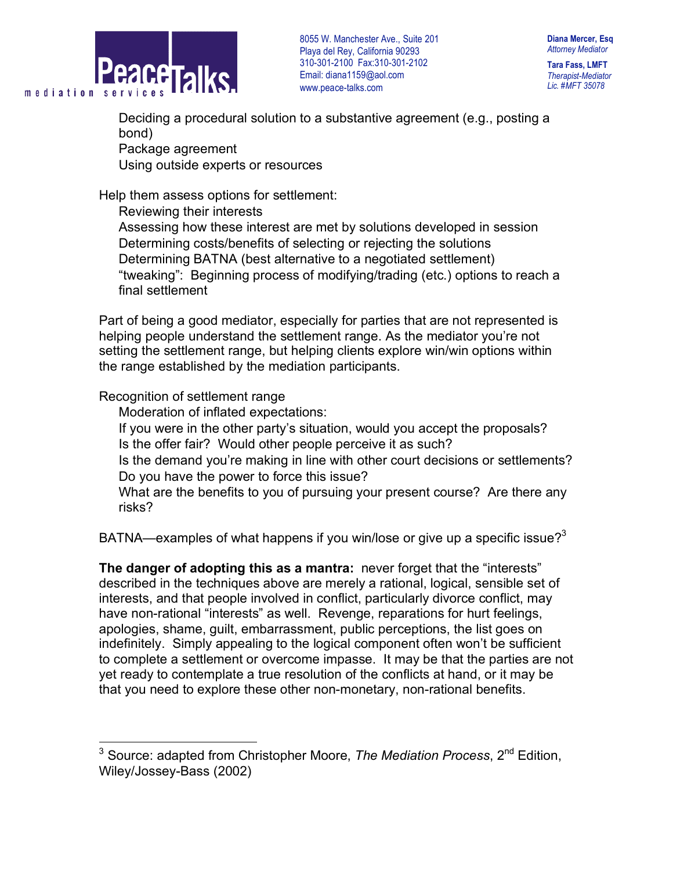

**Diana Mercer, Esq** *Attorney Mediator*

**Tara Fass, LMFT** *Therapist-Mediator Lic. #MFT 35078*

 Deciding a procedural solution to a substantive agreement (e.g., posting a bond)

Package agreement

Using outside experts or resources

Help them assess options for settlement:

 Reviewing their interests Assessing how these interest are met by solutions developed in session Determining costs/benefits of selecting or rejecting the solutions Determining BATNA (best alternative to a negotiated settlement) "tweaking": Beginning process of modifying/trading (etc.) options to reach a final settlement

Part of being a good mediator, especially for parties that are not represented is helping people understand the settlement range. As the mediator you're not setting the settlement range, but helping clients explore win/win options within the range established by the mediation participants.

Recognition of settlement range

Moderation of inflated expectations:

 If you were in the other party's situation, would you accept the proposals? Is the offer fair? Would other people perceive it as such?

 Is the demand you're making in line with other court decisions or settlements? Do you have the power to force this issue?

What are the benefits to you of pursuing your present course? Are there any risks?

BATNA—examples of what happens if you win/lose or give up a specific issue? $3<sup>3</sup>$ 

**The danger of adopting this as a mantra:** never forget that the "interests" described in the techniques above are merely a rational, logical, sensible set of interests, and that people involved in conflict, particularly divorce conflict, may have non-rational "interests" as well. Revenge, reparations for hurt feelings, apologies, shame, guilt, embarrassment, public perceptions, the list goes on indefinitely. Simply appealing to the logical component often won't be sufficient to complete a settlement or overcome impasse. It may be that the parties are not yet ready to contemplate a true resolution of the conflicts at hand, or it may be that you need to explore these other non-monetary, non-rational benefits.

 <sup>3</sup> Source: adapted from Christopher Moore, *The Mediation Process*, <sup>2</sup>nd Edition, Wiley/Jossey-Bass (2002)